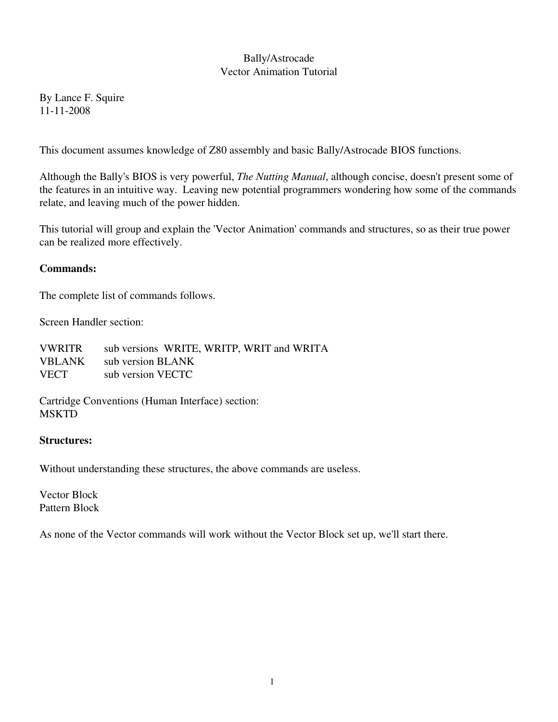# Bally/Astrocade Vector Animation Tutorial

By Lance F. Squire 11112008

This document assumes knowledge of Z80 assembly and basic Bally/Astrocade BIOS functions.

Although the Bally's BIOS is very powerful, *The Nutting Manual*, although concise, doesn't present some of the features in an intuitive way. Leaving new potential programmers wondering how some of the commands relate, and leaving much of the power hidden.

This tutorial will group and explain the 'Vector Animation' commands and structures, so as their true power can be realized more effectively.

### Commands:

The complete list of commands follows.

Screen Handler section:

| <b>VWRITR</b> | sub versions WRITE, WRITP, WRIT and WRITA |
|---------------|-------------------------------------------|
|               | VBLANK sub version BLANK                  |
| <b>VECT</b>   | sub version VECTC                         |

Cartridge Conventions (Human Interface) section: **MSKTD** 

#### Structures:

Without understanding these structures, the above commands are useless.

Vector Block Pattern Block

As none of the Vector commands will work without the Vector Block set up, we'll start there.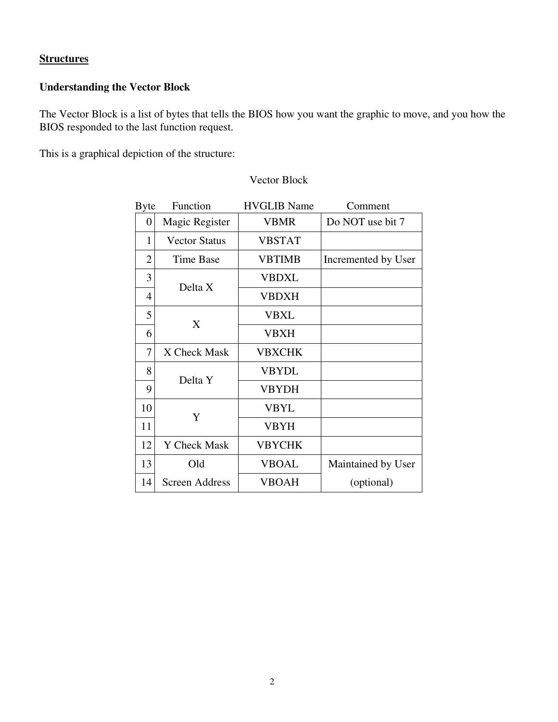# **Structures**

# Understanding the Vector Block

The Vector Block is a list of bytes that tells the BIOS how you want the graphic to move, and you how the BIOS responded to the last function request.

This is a graphical depiction of the structure:

| <b>Byte</b>      | Function              | <b>HVGLIB</b> Name | Comment             |
|------------------|-----------------------|--------------------|---------------------|
| $\boldsymbol{0}$ | Magic Register        | <b>VBMR</b>        | Do NOT use bit 7    |
| 1                | <b>Vector Status</b>  | <b>VBSTAT</b>      |                     |
| $\overline{2}$   | Time Base             | <b>VBTIMB</b>      | Incremented by User |
| 3                | Delta X               | <b>VBDXL</b>       |                     |
| 4                |                       | <b>VBDXH</b>       |                     |
| 5                | X                     | VBXL               |                     |
| 6                |                       | VBXH               |                     |
| 7                | X Check Mask          | <b>VBXCHK</b>      |                     |
| 8                | Delta Y               | <b>VBYDL</b>       |                     |
| 9                |                       | <b>VBYDH</b>       |                     |
| 10               | Y                     | <b>VBYL</b>        |                     |
| 11               |                       | <b>VBYH</b>        |                     |
| 12               | Y Check Mask          | <b>VBYCHK</b>      |                     |
| 13               | Old                   | <b>VBOAL</b>       | Maintained by User  |
| 14               | <b>Screen Address</b> | <b>VBOAH</b>       | (optional)          |

### Vector Block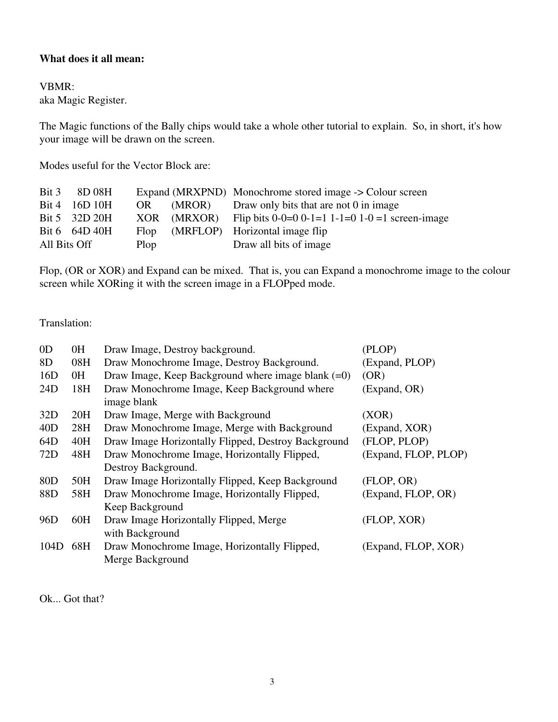### What does it all mean:

#### VBMR:

aka Magic Register.

The Magic functions of the Bally chips would take a whole other tutorial to explain. So, in short, it's how your image will be drawn on the screen.

Modes useful for the Vector Block are:

| Bit 3        | 8D 08H        |      |        | Expand (MRXPND) Monochrome stored image -> Colour screen      |
|--------------|---------------|------|--------|---------------------------------------------------------------|
| Bit 4        | 16D10H        | OR   | (MROR) | Draw only bits that are not 0 in image                        |
|              | Bit 5 32D 20H |      |        | XOR (MRXOR) Flip bits $0-0=0$ 0-1=1 1-1=0 1-0 =1 screen-image |
|              | Bit 6 64D 40H |      |        | Flop (MRFLOP) Horizontal image flip                           |
| All Bits Off |               | Plop |        | Draw all bits of image                                        |

Flop, (OR or XOR) and Expand can be mixed. That is, you can Expand a monochrome image to the colour screen while XORing it with the screen image in a FLOPped mode.

### Translation:

| 0 <sub>D</sub>  | 0H  | Draw Image, Destroy background.                             | (PLOP)               |
|-----------------|-----|-------------------------------------------------------------|----------------------|
| 8D              | 08H | Draw Monochrome Image, Destroy Background.                  | (Expand, PLOP)       |
| 16D             | 0H  | Draw Image, Keep Background where image blank $(=0)$        | (OR)                 |
| 24D             | 18H | Draw Monochrome Image, Keep Background where<br>image blank | (Expand, OR)         |
| 32D             | 20H | Draw Image, Merge with Background                           | (XOR)                |
| 40D             | 28H | Draw Monochrome Image, Merge with Background                | (Expand, XOR)        |
| 64D             | 40H | Draw Image Horizontally Flipped, Destroy Background         | (FLOP, PLOP)         |
| 72D             | 48H | Draw Monochrome Image, Horizontally Flipped,                | (Expand, FLOP, PLOP) |
|                 |     | Destroy Background.                                         |                      |
| 80 <sub>D</sub> | 50H | Draw Image Horizontally Flipped, Keep Background            | (FLOP, OR)           |
| 88D             | 58H | Draw Monochrome Image, Horizontally Flipped,                | (Expand, FLOP, OR)   |
|                 |     | Keep Background                                             |                      |
| 96 <sub>D</sub> | 60H | Draw Image Horizontally Flipped, Merge                      | (FLOP, XOR)          |
|                 |     | with Background                                             |                      |
| 104D            | 68H | Draw Monochrome Image, Horizontally Flipped,                | (Expand, FLOP, XOR)  |
|                 |     | Merge Background                                            |                      |

Ok... Got that?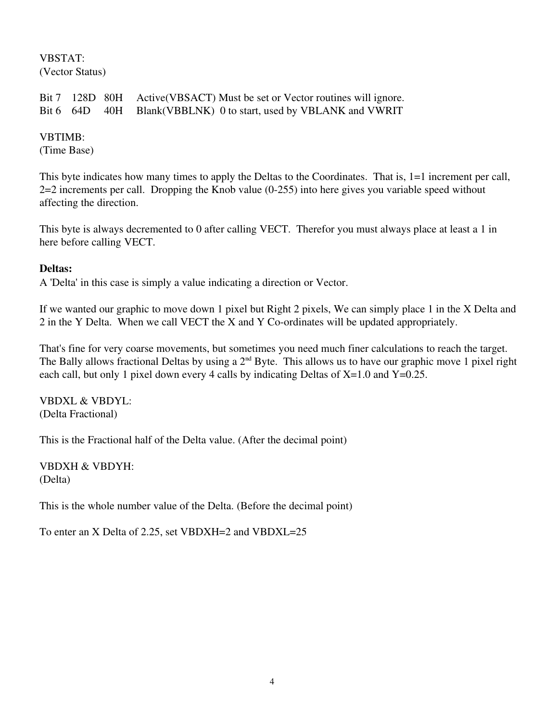#### VBSTAT: (Vector Status)

Bit 7 128D 80H Active(VBSACT) Must be set or Vector routines will ignore. Bit 6 64D 40H Blank(VBBLNK) 0 to start, used by VBLANK and VWRIT

# VBTIMB:

(Time Base)

This byte indicates how many times to apply the Deltas to the Coordinates. That is, 1=1 increment per call, 2=2 increments per call. Dropping the Knob value (0255) into here gives you variable speed without affecting the direction.

This byte is always decremented to 0 after calling VECT. Therefor you must always place at least a 1 in here before calling VECT.

# Deltas:

A 'Delta' in this case is simply a value indicating a direction or Vector.

If we wanted our graphic to move down 1 pixel but Right 2 pixels, We can simply place 1 in the X Delta and 2 in the Y Delta. When we call VECT the X and Y Co-ordinates will be updated appropriately.

That's fine for very coarse movements, but sometimes you need much finer calculations to reach the target. The Bally allows fractional Deltas by using a  $2<sup>nd</sup>$  Byte. This allows us to have our graphic move 1 pixel right each call, but only 1 pixel down every 4 calls by indicating Deltas of  $X=1.0$  and  $Y=0.25$ .

VBDXL & VBDYL: (Delta Fractional)

This is the Fractional half of the Delta value. (After the decimal point)

VBDXH & VBDYH: (Delta)

This is the whole number value of the Delta. (Before the decimal point)

To enter an X Delta of 2.25, set VBDXH=2 and VBDXL=25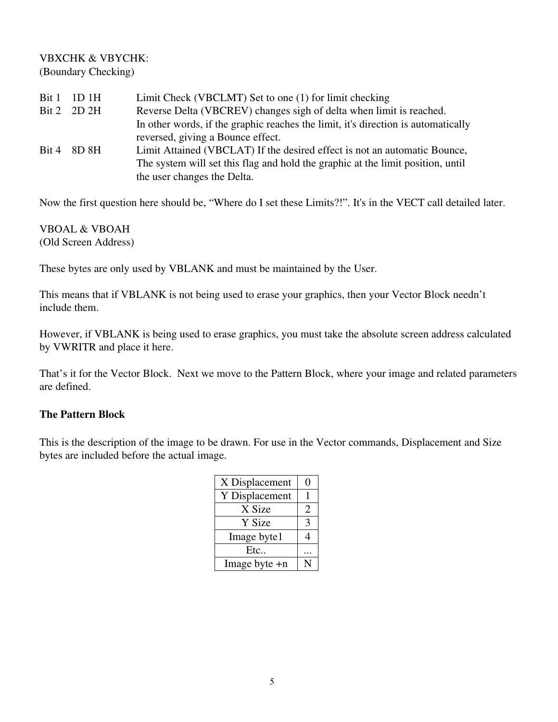### VBXCHK & VBYCHK: (Boundary Checking)

|       | Bit 1 1D 1H | Limit Check (VBCLMT) Set to one (1) for limit checking                            |
|-------|-------------|-----------------------------------------------------------------------------------|
|       | Bit 2 2D 2H | Reverse Delta (VBCREV) changes sigh of delta when limit is reached.               |
|       |             | In other words, if the graphic reaches the limit, it's direction is automatically |
|       |             | reversed, giving a Bounce effect.                                                 |
| Bit 4 | 8D 8H       | Limit Attained (VBCLAT) If the desired effect is not an automatic Bounce,         |
|       |             | The system will set this flag and hold the graphic at the limit position, until   |
|       |             | the user changes the Delta.                                                       |

Now the first question here should be, "Where do I set these Limits?!". It's in the VECT call detailed later.

VBOAL & VBOAH (Old Screen Address)

These bytes are only used by VBLANK and must be maintained by the User.

This means that if VBLANK is not being used to erase your graphics, then your Vector Block needn't include them.

However, if VBLANK is being used to erase graphics, you must take the absolute screen address calculated by VWRITR and place it here.

That's it for the Vector Block. Next we move to the Pattern Block, where your image and related parameters are defined.

### The Pattern Block

This is the description of the image to be drawn. For use in the Vector commands, Displacement and Size bytes are included before the actual image.

| X Displacement |   |
|----------------|---|
| Y Displacement |   |
| X Size         | 2 |
| Y Size         | 3 |
| Image byte1    |   |
| Etc            |   |
| Image byte +n  |   |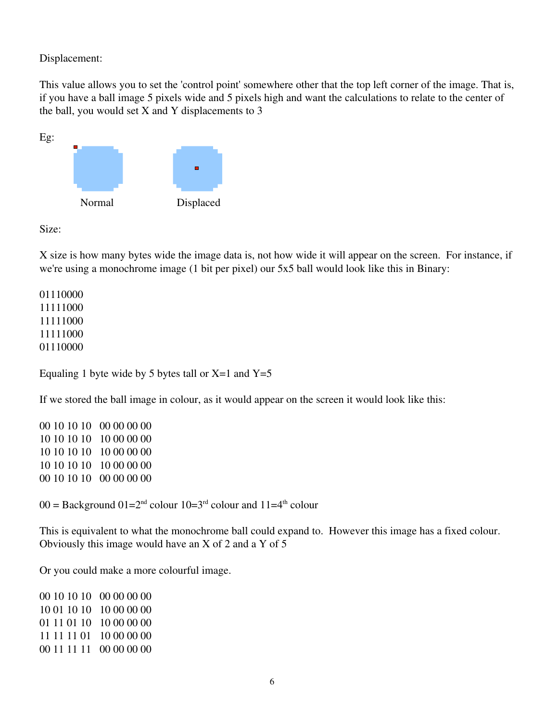Displacement:

This value allows you to set the 'control point' somewhere other that the top left corner of the image. That is, if you have a ball image 5 pixels wide and 5 pixels high and want the calculations to relate to the center of the ball, you would set X and Y displacements to 3



Size:

X size is how many bytes wide the image data is, not how wide it will appear on the screen. For instance, if we're using a monochrome image (1 bit per pixel) our 5x5 ball would look like this in Binary:

Equaling 1 byte wide by 5 bytes tall or  $X=1$  and  $Y=5$ 

If we stored the ball image in colour, as it would appear on the screen it would look like this:

00 10 10 10 00 00 00 00 10 10 10 10 00 00 00 10 10 10 10 00 00 00 10 10 10 10 00 00 00 00 10 10 10 00 00 00 00

 $00 =$  Background  $01=2^{nd}$  colour  $10=3^{rd}$  colour and  $11=4^{th}$  colour

This is equivalent to what the monochrome ball could expand to. However this image has a fixed colour. Obviously this image would have an X of 2 and a Y of 5

Or you could make a more colourful image.

00 10 10 10 00 00 00 00 10 01 10 10 00 00 00 00 01 11 01 10 10 00 00 00 11 11 11 01 10 00 00 00 00 11 11 11 00 00 00 00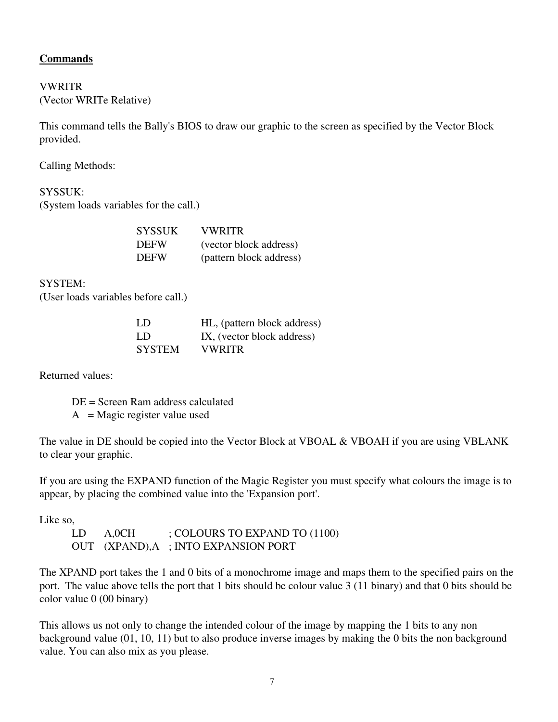# Commands

### VWRITR (Vector WRITe Relative)

This command tells the Bally's BIOS to draw our graphic to the screen as specified by the Vector Block provided.

Calling Methods:

SYSSUK: (System loads variables for the call.)

| <b>SYSSUK</b> | VWRITR                  |
|---------------|-------------------------|
| <b>DEFW</b>   | (vector block address)  |
| <b>DEFW</b>   | (pattern block address) |

SYSTEM:

(User loads variables before call.)

| LD.           | HL, (pattern block address) |
|---------------|-----------------------------|
| -LD           | IX, (vector block address)  |
| <b>SYSTEM</b> | <b>VWRITR</b>               |

Returned values:

DE = Screen Ram address calculated  $A = Magic register value used$ 

The value in DE should be copied into the Vector Block at VBOAL & VBOAH if you are using VBLANK to clear your graphic.

If you are using the EXPAND function of the Magic Register you must specify what colours the image is to appear, by placing the combined value into the 'Expansion port'.

Like so,

LD A, OCH ; COLOURS TO EXPAND TO (1100) OUT (XPAND),A ; INTO EXPANSION PORT

The XPAND port takes the 1 and 0 bits of a monochrome image and maps them to the specified pairs on the port. The value above tells the port that 1 bits should be colour value 3 (11 binary) and that 0 bits should be color value 0 (00 binary)

This allows us not only to change the intended colour of the image by mapping the 1 bits to any non background value (01, 10, 11) but to also produce inverse images by making the 0 bits the non background value. You can also mix as you please.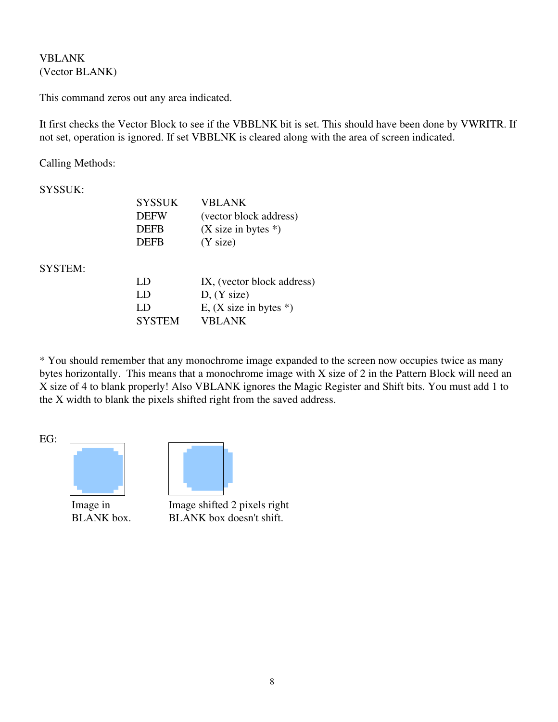VBLANK (Vector BLANK)

This command zeros out any area indicated.

It first checks the Vector Block to see if the VBBLNK bit is set. This should have been done by VWRITR. If not set, operation is ignored. If set VBBLNK is cleared along with the area of screen indicated.

Calling Methods:

| SYSSUK: |  |
|---------|--|
|---------|--|

SYSTEM:

| <b>SYSSUK</b> | VBLANK                     |
|---------------|----------------------------|
| <b>DEFW</b>   | (vector block address)     |
| <b>DEFB</b>   | $(X$ size in bytes $*)$    |
| <b>DEFB</b>   | (Y size)                   |
| LD            | IX, (vector block address) |
| LD            | D, (Y size)                |
| LD            | E, $(X$ size in bytes $*)$ |
| <b>SYSTEM</b> | VBI ANK                    |

\* You should remember that any monochrome image expanded to the screen now occupies twice as many bytes horizontally. This means that a monochrome image with X size of 2 in the Pattern Block will need an X size of 4 to blank properly! Also VBLANK ignores the Magic Register and Shift bits. You must add 1 to the X width to blank the pixels shifted right from the saved address.

EG:





Image in Image shifted 2 pixels right BLANK box. BLANK box doesn't shift.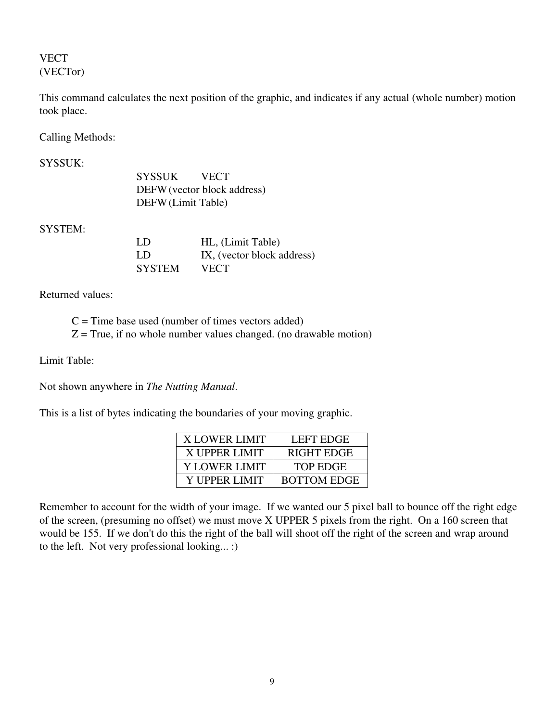# VECT (VECTor)

This command calculates the next position of the graphic, and indicates if any actual (whole number) motion took place.

Calling Methods:

| <b>SYSSUK:</b> |                    |                             |
|----------------|--------------------|-----------------------------|
|                | SYSSUK             | <b>VECT</b>                 |
|                |                    | DEFW (vector block address) |
|                | DEFW (Limit Table) |                             |
| <b>SYSTEM:</b> |                    |                             |
|                | LD                 | HL, (Limit Table)           |
|                | LD                 | IX, (vector block address)  |
|                | <b>SYSTEM</b>      | VECT                        |
|                |                    |                             |

Returned values:

 $C =$  Time base used (number of times vectors added)  $Z = True$ , if no whole number values changed. (no drawable motion)

Limit Table:

Not shown anywhere in *The Nutting Manual*.

This is a list of bytes indicating the boundaries of your moving graphic.

| <b>X LOWER LIMIT</b> | LEFT EDGE          |
|----------------------|--------------------|
| X UPPER LIMIT        | RIGHT EDGE         |
| Y LOWER LIMIT        | TOP EDGE           |
| Y UPPER LIMIT        | <b>BOTTOM EDGE</b> |

Remember to account for the width of your image. If we wanted our 5 pixel ball to bounce off the right edge of the screen, (presuming no offset) we must move X UPPER 5 pixels from the right. On a 160 screen that would be 155. If we don't do this the right of the ball will shoot off the right of the screen and wrap around to the left. Not very professional looking... :)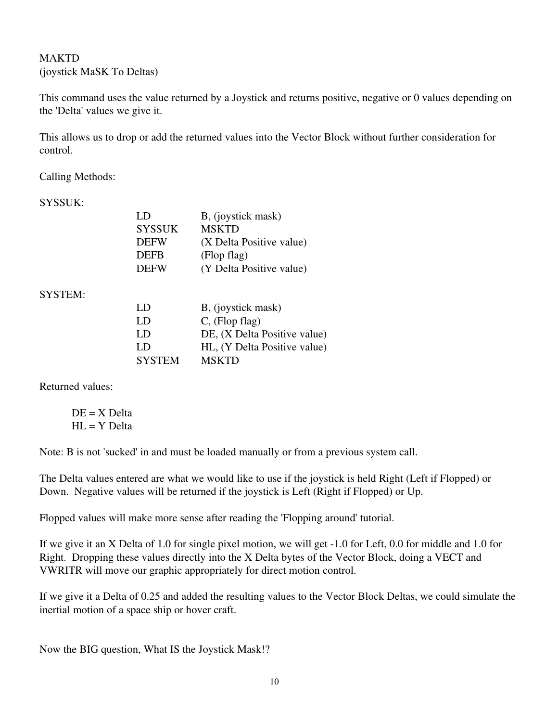# MAKTD (joystick MaSK To Deltas)

This command uses the value returned by a Joystick and returns positive, negative or 0 values depending on the 'Delta' values we give it.

This allows us to drop or add the returned values into the Vector Block without further consideration for control.

Calling Methods:

SYSSUK:

| LD            | B, (joystick mask)       |
|---------------|--------------------------|
| <b>SYSSUK</b> | <b>MSKTD</b>             |
| <b>DEFW</b>   | (X Delta Positive value) |
| <b>DEFB</b>   | (Flop flag)              |
| <b>DEFW</b>   | (Y Delta Positive value) |

SYSTEM:

| LD            | B, (joystick mask)           |
|---------------|------------------------------|
| LD            | $C$ , (Flop flag)            |
| LD            | DE, (X Delta Positive value) |
| LD            | HL, (Y Delta Positive value) |
| <b>SYSTEM</b> | <b>MSKTD</b>                 |

Returned values:

 $DE = X$  Delta  $HL = Y$  Delta

Note: B is not 'sucked' in and must be loaded manually or from a previous system call.

The Delta values entered are what we would like to use if the joystick is held Right (Left if Flopped) or Down. Negative values will be returned if the joystick is Left (Right if Flopped) or Up.

Flopped values will make more sense after reading the 'Flopping around' tutorial.

If we give it an X Delta of 1.0 for single pixel motion, we will get 1.0 for Left, 0.0 for middle and 1.0 for Right. Dropping these values directly into the X Delta bytes of the Vector Block, doing a VECT and VWRITR will move our graphic appropriately for direct motion control.

If we give it a Delta of 0.25 and added the resulting values to the Vector Block Deltas, we could simulate the inertial motion of a space ship or hover craft.

Now the BIG question, What IS the Joystick Mask!?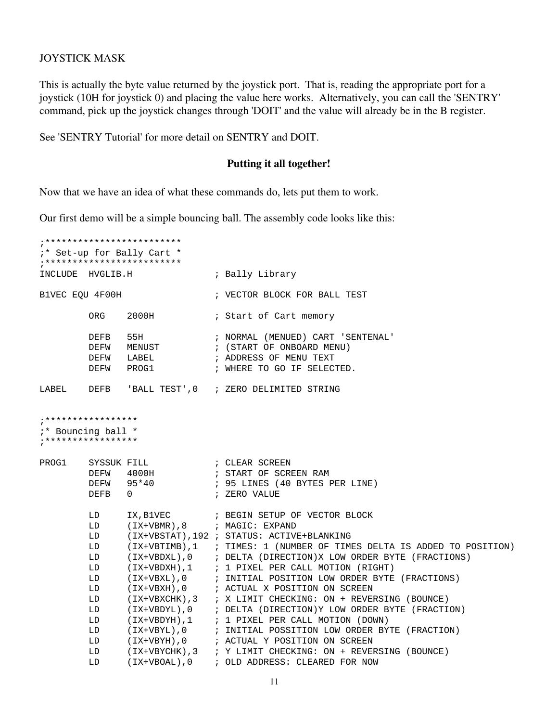#### JOYSTICK MASK

This is actually the byte value returned by the joystick port. That is, reading the appropriate port for a joystick (10H for joystick 0) and placing the value here works. Alternatively, you can call the 'SENTRY' command, pick up the joystick changes through 'DOIT' and the value will already be in the B register.

See 'SENTRY Tutorial' for more detail on SENTRY and DOIT.

#### Putting it all together!

Now that we have an idea of what these commands do, lets put them to work.

Our first demo will be a simple bouncing ball. The assembly code looks like this:

```
;*************************
;* Set-up for Bally Cart *
;*************************
INCLUDE HVGLIB.H ; Bally Library
B1VEC EQU 4F00H ; VECTOR BLOCK FOR BALL TEST
       ORG 2000H ; Start of Cart memory
       DEFB 55H ; NORMAL (MENUED) CART 'SENTENAL'<br>DEFW MENUST : (START OF ONBOARD MENU)
       DEFW MENUST ; (START OF ONBOARD MENU)
       DEFW LABEL ; ADDRESS OF MENU TEXT
       DEFW PROG1 ; WHERE TO GO IF SELECTED.
LABEL DEFB 'BALL TEST',0 ; ZERO DELIMITED STRING
******************
;* Bouncing ball *
***************
PROG1 SYSSUK FILL ; CLEAR SCREEN
       DEFW 4000H ; START OF SCREEN RAM
 DEFW 95*40 ; 95 LINES (40 BYTES PER LINE)
 DEFB 0 ; ZERO VALUE
 LD IX,B1VEC ; BEGIN SETUP OF VECTOR BLOCK
 LD (IX+VBMR),8 ; MAGIC: EXPAND
        LD (IX+VBSTAT),192 ; STATUS: ACTIVE+BLANKING
       LD (IX+VBTIMB),1 ; TIMES: 1 (NUMBER OF TIMES DELTA IS ADDED TO POSITION)<br>LD (IX+VBDXL),0 ; DELTA (DIRECTION)X LOW ORDER BYTE (FRACTIONS)
        LD (IX+VBDXL),0 ; DELTA (DIRECTION)X LOW ORDER BYTE (FRACTIONS)
        LD (IX+VBDXH),1 ; 1 PIXEL PER CALL MOTION (RIGHT)
 LD (IX+VBXL),0 ; INITIAL POSITION LOW ORDER BYTE (FRACTIONS)
 LD (IX+VBXH),0 ; ACTUAL X POSITION ON SCREEN
 LD (IX+VBXCHK),3 ; X LIMIT CHECKING: ON + REVERSING (BOUNCE)
 LD (IX+VBDYL),0 ; DELTA (DIRECTION)Y LOW ORDER BYTE (FRACTION)
 LD (IX+VBDYH),1 ; 1 PIXEL PER CALL MOTION (DOWN)
 LD (IX+VBYL),0 ; INITIAL POSSITION LOW ORDER BYTE (FRACTION)
 LD (IX+VBYH),0 ; ACTUAL Y POSITION ON SCREEN
        LD (IX+VBYCHK),3 ; Y LIMIT CHECKING: ON + REVERSING (BOUNCE)
        LD (IX+VBOAL),0 ; OLD ADDRESS: CLEARED FOR NOW
```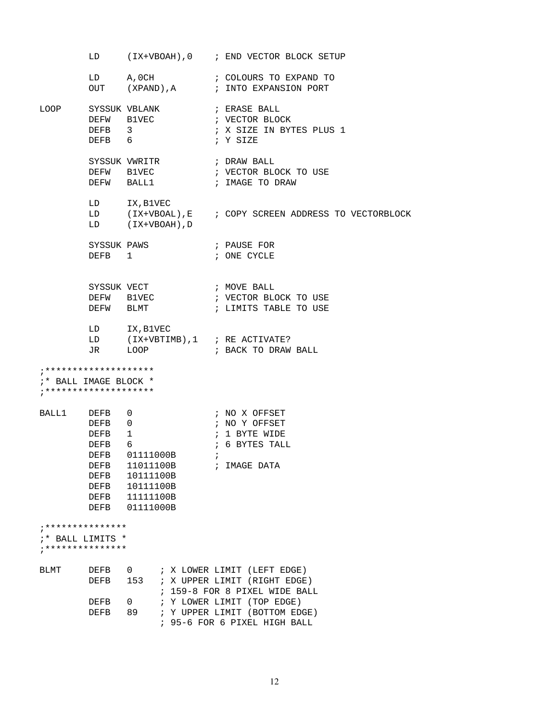|                                                                                        |                                                                                                           |                                                                                 |  |              | LD (IX+VBOAH), 0 ; END VECTOR BLOCK SETUP                                                                              |
|----------------------------------------------------------------------------------------|-----------------------------------------------------------------------------------------------------------|---------------------------------------------------------------------------------|--|--------------|------------------------------------------------------------------------------------------------------------------------|
|                                                                                        |                                                                                                           |                                                                                 |  |              | LD A,0CH ; COLOURS TO EXPAND TO<br>OUT (XPAND),A ; INTO EXPANSION PORT                                                 |
|                                                                                        |                                                                                                           | LOOP SYSSUK VBLANK (FRASE BALL<br>DEFW B1VEC ; VECTOR BLOCK<br>DEFB 3<br>DEFB 6 |  |              | ; X SIZE IN BYTES PLUS 1<br>; Y SIZE                                                                                   |
|                                                                                        |                                                                                                           | SYSSUK VWRITR<br>DEFW B1VEC<br>DEFW BALL1                                       |  |              | ; DRAW BALL<br>; VECTOR BLOCK TO USE<br>; IMAGE TO DRAW                                                                |
|                                                                                        |                                                                                                           | LD IX, B1VEC<br>LD (IX+VBOAH), D                                                |  |              | LD (IX+VBOAL), E ; COPY SCREEN ADDRESS TO VECTORBLOCK                                                                  |
|                                                                                        | DEFB <sub>1</sub>                                                                                         | SYSSUK PAWS                                                                     |  |              | ; PAUSE FOR<br>; ONE CYCLE                                                                                             |
|                                                                                        | DEFW BLMT                                                                                                 | SYSSUK VECT<br>DEFW B1VEC                                                       |  |              | MOVE BALL ;<br>: עברים מי<br>; VECTOR BLOCK TO USE<br>; LIMITS TABLE TO USE                                            |
|                                                                                        |                                                                                                           | LD IX, B1VEC                                                                    |  |              | LD (IX+VBTIMB),1 ; RE ACTIVATE?<br>JR LOOP ; BACK TO DRAW BALL                                                         |
| ;* BALL IMAGE BLOCK *                                                                  |                                                                                                           |                                                                                 |  |              |                                                                                                                        |
| BALL1 DEFB 0                                                                           | DEFB 0<br>DEFB <sub>1</sub><br>DEFB 6<br>DEFB<br><b>DEFB</b><br><b>DEFB</b><br><b>DEFB</b><br><b>DEFB</b> | DEFB 01111000B<br>11011100B<br>10111100B<br>10111100B<br>11111100B<br>01111000B |  | $\mathbf{r}$ | ; NO X OFFSET<br>; NO Y OFFSET<br>; 1 BYTE WIDE<br>; 6 BYTES TALL<br>; IMAGE DATA                                      |
| . * * * * * * * * * * * * * * *<br>:* BALL LIMITS *<br>* * * * * * * * * * * * * * * * |                                                                                                           |                                                                                 |  |              |                                                                                                                        |
| <b>BLMT</b>                                                                            | <b>DEFB</b><br><b>DEFB</b><br><b>DEFB</b>                                                                 | $\Theta$ and a set of $\Theta$<br>153<br>0                                      |  |              | ; X LOWER LIMIT (LEFT EDGE)<br>X UPPER LIMIT (RIGHT EDGE)<br>159-8 FOR 8 PIXEL WIDE BALL<br>; Y LOWER LIMIT (TOP EDGE) |
|                                                                                        | <b>DEFB</b>                                                                                               | 89                                                                              |  |              | Y UPPER LIMIT (BOTTOM EDGE)<br>95-6 FOR 6 PIXEL HIGH BALL                                                              |
|                                                                                        |                                                                                                           |                                                                                 |  |              |                                                                                                                        |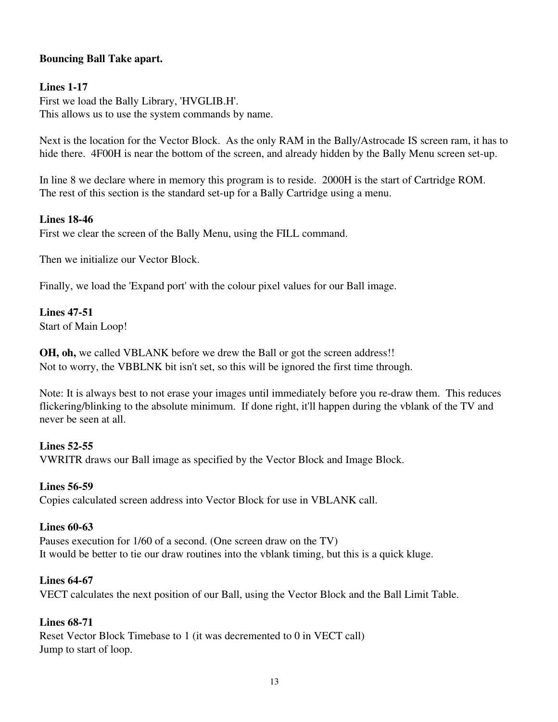# Bouncing Ball Take apart.

# **Lines 1-17**

First we load the Bally Library, 'HVGLIB.H'. This allows us to use the system commands by name.

Next is the location for the Vector Block. As the only RAM in the Bally/Astrocade IS screen ram, it has to hide there. 4F00H is near the bottom of the screen, and already hidden by the Bally Menu screen set-up.

In line 8 we declare where in memory this program is to reside. 2000H is the start of Cartridge ROM. The rest of this section is the standard set-up for a Bally Cartridge using a menu.

### **Lines 18-46**

First we clear the screen of the Bally Menu, using the FILL command.

Then we initialize our Vector Block.

Finally, we load the 'Expand port' with the colour pixel values for our Ball image.

### **Lines 47-51**

Start of Main Loop!

OH, oh, we called VBLANK before we drew the Ball or got the screen address!! Not to worry, the VBBLNK bit isn't set, so this will be ignored the first time through.

Note: It is always best to not erase your images until immediately before you re-draw them. This reduces flickering/blinking to the absolute minimum. If done right, it'll happen during the vblank of the TV and never be seen at all.

#### Lines  $52-55$

VWRITR draws our Ball image as specified by the Vector Block and Image Block.

#### **Lines 56-59**

Copies calculated screen address into Vector Block for use in VBLANK call.

#### Lines  $60-63$

Pauses execution for 1/60 of a second. (One screen draw on the TV) It would be better to tie our draw routines into the vblank timing, but this is a quick kluge.

#### **Lines 64-67**

VECT calculates the next position of our Ball, using the Vector Block and the Ball Limit Table.

### **Lines 68-71**

Reset Vector Block Timebase to 1 (it was decremented to 0 in VECT call) Jump to start of loop.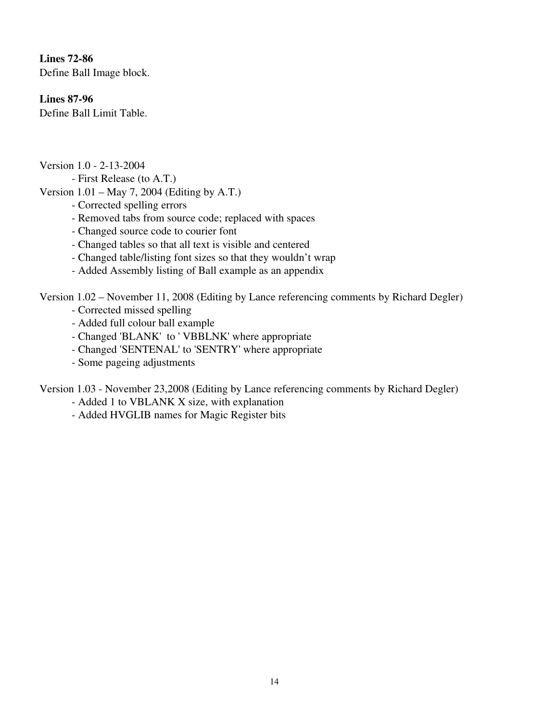Lines  $72-86$ Define Ball Image block.

# **Lines 87-96**

Define Ball Limit Table.

Version 1.0 - 2-13-2004

First Release (to A.T.)

Version 1.01 – May 7, 2004 (Editing by A.T.)

- Corrected spelling errors
- Removed tabs from source code; replaced with spaces
- Changed source code to courier font
- Changed tables so that all text is visible and centered
- Changed table/listing font sizes so that they wouldn't wrap
- Added Assembly listing of Ball example as an appendix

Version 1.02 – November 11, 2008 (Editing by Lance referencing comments by Richard Degler)

- Corrected missed spelling
- Added full colour ball example
- Changed 'BLANK' to ' VBBLNK' where appropriate
- Changed 'SENTENAL' to 'SENTRY' where appropriate
- Some pageing adjustments

Version 1.03 - November 23,2008 (Editing by Lance referencing comments by Richard Degler)

- Added 1 to VBLANK X size, with explanation
- Added HVGLIB names for Magic Register bits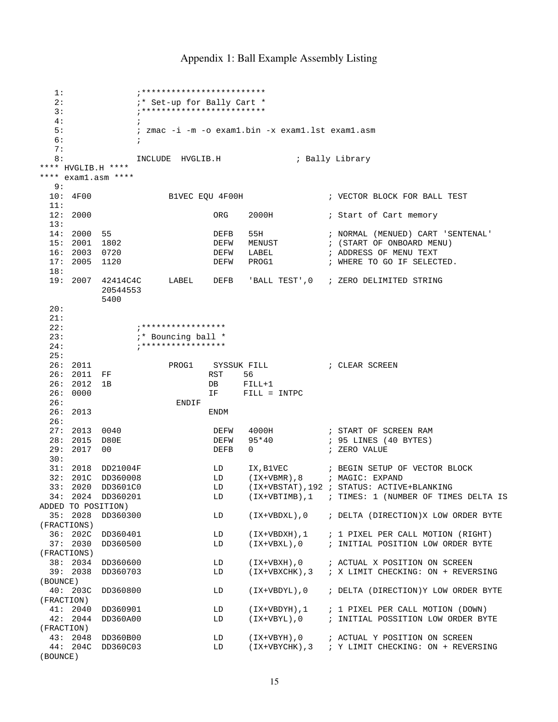#### Appendix 1: Ball Example Assembly Listing

 1: ;\*\*\*\*\*\*\*\*\*\*\*\*\*\*\*\*\*\*\*\*\*\*\*\*\* 2:  $\begin{array}{ccc} \n 2: & \quad & \quad \text{if} \quad \text{Set-up} \text{ for} \quad \text{Bally} \text{ Cart} \quad \text{*} \ \n 3: & \quad & \quad \text{if} \quad \text{if} \quad \text{if} \quad \text{if} \quad \text{if} \quad \text{if} \quad \text{if} \quad \text{if} \quad \text{if} \quad \text{if} \quad \text{if} \quad \text{if} \quad \text{if} \quad \text{if} \quad \text{if} \quad \text{if} \quad \text{if} \quad \text{if} \quad \text{if} \quad \text{if} \quad \text{if} \quad \text{if$  3: ;\*\*\*\*\*\*\*\*\*\*\*\*\*\*\*\*\*\*\*\*\*\*\*\*\*  $4:$  ; 5: ; zmac -i -m -o exam1.bin -x exam1.lst exam1.asm  $6:$   $\qquad \qquad$  7: 8: INCLUDE HVGLIB.H ; Bally Library \*\*\*\* HVGLIB.H \*\*\*\* \*\*\*\* exam1.asm \*\*\*\*  $9:$ <br> $10:$   $4F00$ B1VEC EQU 4F00H ; VECTOR BLOCK FOR BALL TEST  $11:$ <br> $12:$  2000 ORG 2000H ; Start of Cart memory 13: 14: 2000 55 DEFB 55H ; NORMAL (MENUED) CART 'SENTENAL' 15: 2001 1802 DEFW MENUST ; (START OF ONBOARD MENU) 16: 2003 0720 DEFW LABEL ; ADDRESS OF MENU TEXT 17: 2005 1120 DEFW PROG1 ; WHERE TO GO IF SELECTED. 18: 19: 2007 42414C4C LABEL DEFB 'BALL TEST',0 ; ZERO DELIMITED STRING 20544553 5400 20: 21: 22: **;**\*\*\*\*\*\*\*\*\*\*\*\*\*\*\*\* 23:  $i*$  Bouncing ball \* 24: ;\*\*\*\*\*\*\*\*\*\*\*\*\*\*\*\*\* 25:<br>26: 2011 PROG1 SYSSUK FILL **FILL SYSSUK FILL FILL SCLEAR SCREEN** 26: 2011 FF RST 56 26: 2012 1B<br>
26: 0000 1F FILL = 26: 0000 IF FILL = INTPC 26: ENDIF 26: 2013 ENDM 26:<br>27: 2013 0040 27: 2013 0040 DEFW 4000H ; START OF SCREEN RAM ; 95 LINES (40 BYTES) 29: 2017 00 DEFB 0 ; ZERO VALUE 30: 31: 2018 DD21004F LD IX,B1VEC ; BEGIN SETUP OF VECTOR BLOCK 32: 201C DD360008 LD (IX+VBMR),8 ; MAGIC: EXPAND 33: 2020 DD3601C0 LD (IX+VBMR),8 ; MAGIC: EXPAND<br>33: 2020 DD3601C0 LD (IX+VBSTAT),192 ; STATUS: ACTIVE+BLANKING<br>34: 2024 DD360201 LD (IX+VBTIMB),1 ; TIMES: 1 (NUMBER OF TIMI<br>20ED TO POSITION) (IX+VBTIMB),1 ; TIMES: 1 (NUMBER OF TIMES DELTA IS ADDED TO POSITION) 35: 2028 DD360300 LD (IX+VBDXL),0 ; DELTA (DIRECTION)X LOW ORDER BYTE (FRACTIONS)<br>36: 202C DD360401<br>37: 2030 DD360500 LD (IX+VBDXH),1 ; 1 PIXEL PER CALL MOTION (RIGHT) 37: 2030 DD360500 LD (IX+VBXL),0 ; INITIAL POSITION LOW ORDER BYTE (FRACTIONS)<br>38: 2034 DD360600 38: 2034 DD360600 LD (IX+VBXH),0 ; ACTUAL X POSITION ON SCREEN<br>39: 2038 DD360703 LD (IX+VBXCHK),3 ; X LIMIT CHECKING: ON + REVE LD (IX+VBXCHK), 3 ; X LIMIT CHECKING: ON + REVERSING (BOUNCE) 40: 203C DD360800 LD (IX+VBDYL),0 ; DELTA (DIRECTION)Y LOW ORDER BYTE (FRACTION) 41: 2040 DD360901 LD (IX+VBDYH),1 ; 1 PIXEL PER CALL MOTION (DOWN) LD (IX+VBYL), 0 ; INITIAL POSSITION LOW ORDER BYTE (FRACTION) 43: 2048 DD360B00 LD (IX+VBYH),0 ; ACTUAL Y POSITION ON SCREEN 44: 204C DD360C03 LD (IX+VBYCHK),3 ; Y LIMIT CHECKING: ON + REVERSING (BOUNCE)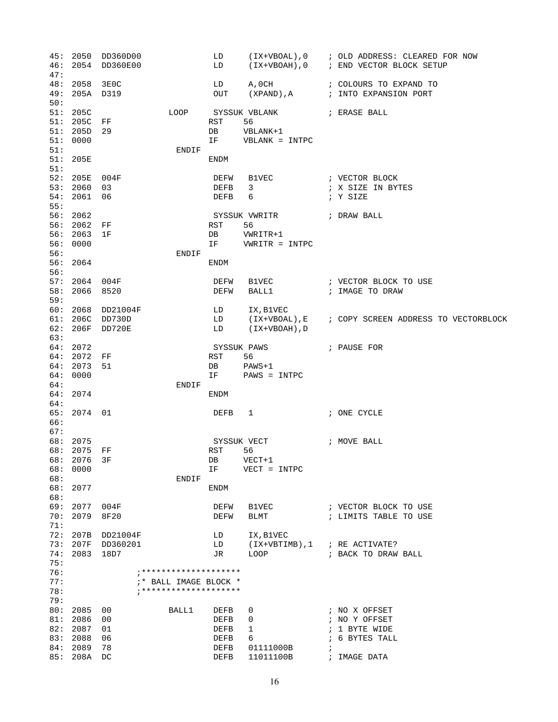|            |                           | 45: 2050 DD360D00 |                                 | LD           |                                                                                                                                                                                                                               | (IX+VBOAL), 0 ; OLD ADDRESS: CLEARED FOR NOW          |
|------------|---------------------------|-------------------|---------------------------------|--------------|-------------------------------------------------------------------------------------------------------------------------------------------------------------------------------------------------------------------------------|-------------------------------------------------------|
|            |                           | 46: 2054 DD360E00 |                                 | LD           |                                                                                                                                                                                                                               | (IX+VBOAH), 0 ; END VECTOR BLOCK SETUP                |
| 47:        |                           |                   |                                 |              |                                                                                                                                                                                                                               |                                                       |
|            | 48: 2058 3E0C             |                   |                                 |              |                                                                                                                                                                                                                               | LD A, OCH : COLOURS TO EXPAND TO                      |
| 50:        | 49: 205A D319             |                   |                                 | OUT          |                                                                                                                                                                                                                               | (XPAND), A : INTO EXPANSION PORT                      |
|            | 51: 205C                  |                   | LOOP                            |              | SYSSUK VBLANK ( FRASE BALL                                                                                                                                                                                                    |                                                       |
|            |                           | 51: 205C FF       |                                 | RST          | 56                                                                                                                                                                                                                            |                                                       |
|            | 51: 205D 29               |                   |                                 | DB           | VBLANK+1                                                                                                                                                                                                                      |                                                       |
|            | 51: 0000                  |                   |                                 | IF 1         | VBLANK = INTPC                                                                                                                                                                                                                |                                                       |
| 51:        |                           |                   | ENDIF                           |              |                                                                                                                                                                                                                               |                                                       |
|            | 51: 205E                  |                   |                                 | ENDM         |                                                                                                                                                                                                                               |                                                       |
| 51:        |                           |                   |                                 |              |                                                                                                                                                                                                                               |                                                       |
|            | 52: 205E 004F             |                   |                                 | DEFW         |                                                                                                                                                                                                                               |                                                       |
|            | 53: 2060                  | 03                |                                 | DEFB         | 3                                                                                                                                                                                                                             | ; X SIZE IN BYTES                                     |
| 55:        | 54: 2061                  | 06                |                                 | DEFB         | 6                                                                                                                                                                                                                             | ; Y SIZE                                              |
|            | 56: 2062                  |                   |                                 |              | SYSSUK VWRITR ( ) DRAW BALL                                                                                                                                                                                                   |                                                       |
|            | 56: 2062 FF               |                   |                                 | RST          | 56                                                                                                                                                                                                                            |                                                       |
|            | 56: 2063 1F               |                   |                                 | DB           | VWRITR+1                                                                                                                                                                                                                      |                                                       |
|            | 56: 0000                  |                   |                                 |              | IF VWRITR = INTPC                                                                                                                                                                                                             |                                                       |
| 56:        |                           |                   | ENDIF                           |              |                                                                                                                                                                                                                               |                                                       |
|            | 56: 2064                  |                   |                                 | ENDM         |                                                                                                                                                                                                                               |                                                       |
| 56:        |                           |                   |                                 |              |                                                                                                                                                                                                                               |                                                       |
|            | 57: 2064 004F<br>58: 2066 | 8520              |                                 | DEFW<br>DEFW | BALL1 and the state of the state of the state of the state of the state of the state of the state of the state of the state of the state of the state of the state of the state of the state of the state of the state of the | ; IMAGE TO DRAW                                       |
| 59:        |                           |                   |                                 |              |                                                                                                                                                                                                                               |                                                       |
|            |                           | 60: 2068 DD21004F |                                 | LD           | IX, B1VEC                                                                                                                                                                                                                     |                                                       |
|            |                           | 61: 206C DD730D   |                                 |              |                                                                                                                                                                                                                               | LD (IX+VBOAL), E ; COPY SCREEN ADDRESS TO VECTORBLOCK |
|            |                           | 62: 206F DD720E   |                                 | LD           | (IX+VBOAH),D                                                                                                                                                                                                                  |                                                       |
| 63:        |                           |                   |                                 |              |                                                                                                                                                                                                                               |                                                       |
|            | 64:2072                   |                   |                                 |              | SYSSUK PAWS                                                                                                                                                                                                                   | ; PAUSE FOR                                           |
|            | 64: 2072 FF               |                   |                                 | RST          | 56                                                                                                                                                                                                                            |                                                       |
|            | 64: 2073<br>64:0000       | 51                |                                 | DB           | PAWS+1<br>IF PAWS = INTPC                                                                                                                                                                                                     |                                                       |
| 64:        |                           |                   | ENDIF                           |              |                                                                                                                                                                                                                               |                                                       |
|            | 64: 2074                  |                   |                                 | ENDM         |                                                                                                                                                                                                                               |                                                       |
| 64:        |                           |                   |                                 |              |                                                                                                                                                                                                                               |                                                       |
|            | 65: 2074 01               |                   |                                 | DEFB         | $\mathbf{1}$                                                                                                                                                                                                                  | ; ONE CYCLE                                           |
| 66:        |                           |                   |                                 |              |                                                                                                                                                                                                                               |                                                       |
| 67:        | 68: 2075                  |                   |                                 |              |                                                                                                                                                                                                                               |                                                       |
|            | 68: 2075 FF               |                   |                                 | RST          | SYSSUK VECT<br>56                                                                                                                                                                                                             | ; MOVE BALL                                           |
|            | 68: 2076 3F               |                   |                                 | DB           | $VECT+1$                                                                                                                                                                                                                      |                                                       |
|            | 68: 0000                  |                   |                                 | ΙF           | $VECT = INTPC$                                                                                                                                                                                                                |                                                       |
| 68:        |                           |                   | ENDIF                           |              |                                                                                                                                                                                                                               |                                                       |
|            | 68: 2077                  |                   |                                 | ENDM         |                                                                                                                                                                                                                               |                                                       |
| 68:        |                           |                   |                                 |              |                                                                                                                                                                                                                               |                                                       |
|            | 69: 2077                  | 004F              |                                 | DEFW         | B1VEC                                                                                                                                                                                                                         | ; VECTOR BLOCK TO USE                                 |
| 70:<br>71: | 2079                      | 8F20              |                                 | DEFW         | <b>BLMT</b>                                                                                                                                                                                                                   | ; LIMITS TABLE TO USE                                 |
|            | 72: 207B                  | DD21004F          |                                 | LD           | IX, B1VEC                                                                                                                                                                                                                     |                                                       |
|            | 73: 207F                  | DD360201          |                                 | LD           | (IX+VBTIMB),1                                                                                                                                                                                                                 | ; RE ACTIVATE?                                        |
|            | 74: 2083                  | 18D7              |                                 | JR           | LOOP                                                                                                                                                                                                                          | ; BACK TO DRAW BALL                                   |
| 75:        |                           |                   |                                 |              |                                                                                                                                                                                                                               |                                                       |
| 76:        |                           |                   |                                 |              |                                                                                                                                                                                                                               |                                                       |
| 77:        |                           |                   | <sup>*</sup> BALL IMAGE BLOCK * |              |                                                                                                                                                                                                                               |                                                       |
| 78:<br>79: |                           |                   |                                 |              |                                                                                                                                                                                                                               |                                                       |
|            | 80: 2085                  | 00                | BALL1                           | DEFB         | 0                                                                                                                                                                                                                             | ; NO X OFFSET                                         |
| 81:        | 2086                      | 00                |                                 | DEFB         | 0                                                                                                                                                                                                                             | ; NO Y OFFSET                                         |
|            | 82: 2087                  | 01                |                                 | DEFB         | 1                                                                                                                                                                                                                             | ; 1 BYTE WIDE                                         |
|            | 83: 2088                  | 06                |                                 | DEFB         | 6                                                                                                                                                                                                                             | ; 6 BYTES TALL                                        |
| 84:        | 2089                      | 78                |                                 | DEFB         | 01111000B                                                                                                                                                                                                                     | $\ddot{ }$                                            |
|            | 85: 208A                  | DC.               |                                 | <b>DEFB</b>  | 11011100B                                                                                                                                                                                                                     | ; IMAGE DATA                                          |